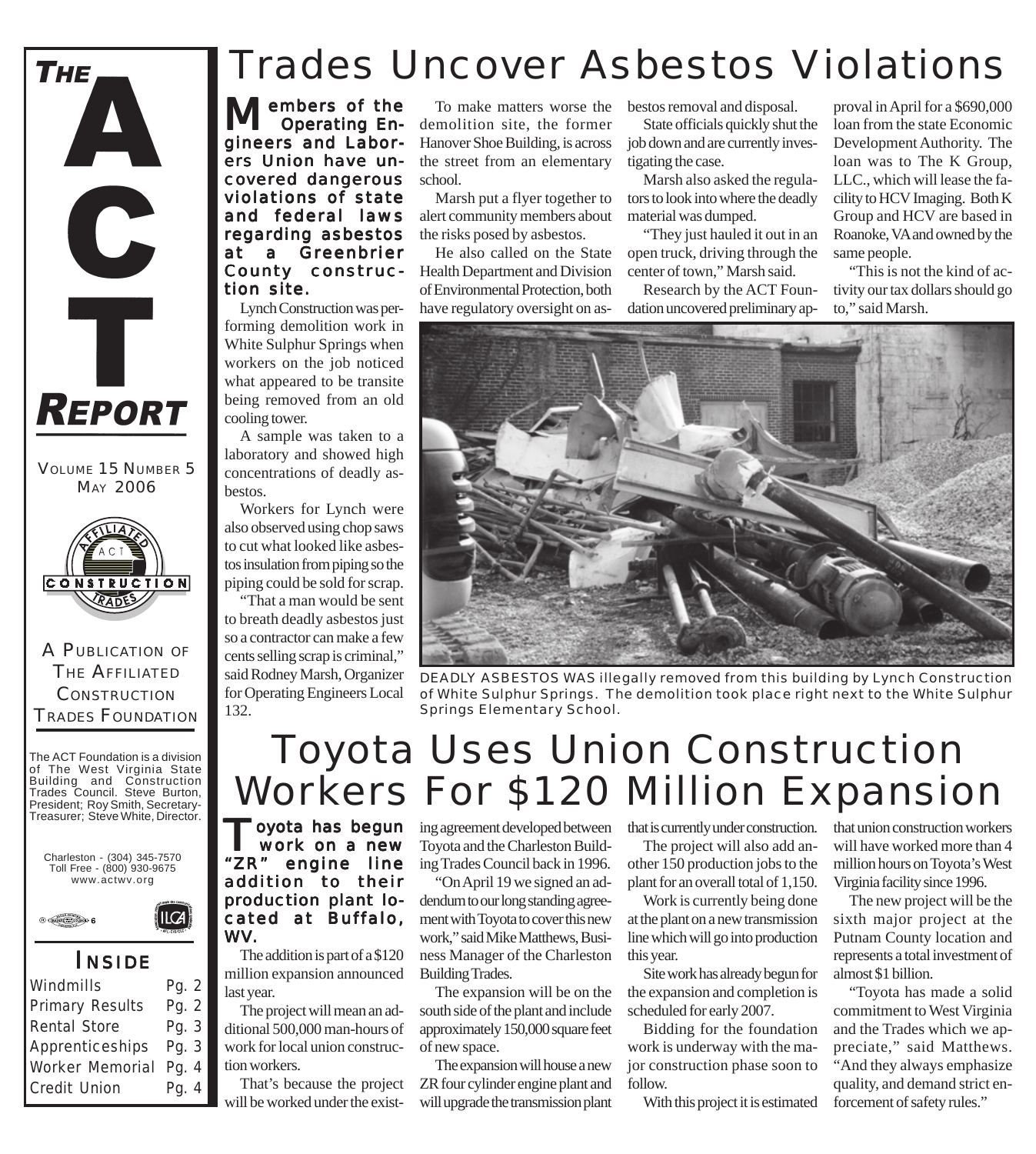

VOLUME 15 NUMBER 5 MAY 2006



A PUBLICATION OF THE AFFILIATED **CONSTRUCTION** TRADES FOUNDATION

The ACT Foundation is a division of The West Virginia State Building and Construction Trades Council. Steve Burton, President; Roy Smith, Secretary-Treasurer; Steve White, Director.



 $ILCA$ 



#### *I NSIDE*

| Windmills              | Pg. 2 |
|------------------------|-------|
| <b>Primary Results</b> | Pg. 2 |
| Rental Store           | Pg. 3 |
| Apprenticeships        | Pg. 3 |
| Worker Memorial        | Pg. 4 |
| Credit Union           | Pg. 4 |
|                        |       |

## Trades Uncover Asbestos Violations

embers of the Operating Engineers and Laborers Union have uncovered dangerous violations of state and federal laws regarding asbestos at a Greenbrier County construction site.

Lynch Construction was performing demolition work in White Sulphur Springs when workers on the job noticed what appeared to be transite being removed from an old cooling tower.

A sample was taken to a laboratory and showed high concentrations of deadly asbestos.

Workers for Lynch were also observed using chop saws to cut what looked like asbestos insulation from piping so the piping could be sold for scrap.

"That a man would be sent to breath deadly asbestos just so a contractor can make a few cents selling scrap is criminal," said Rodney Marsh, Organizer for Operating Engineers Local 132.

To make matters worse the demolition site, the former Hanover Shoe Building, is across the street from an elementary school.

Marsh put a flyer together to alert community members about the risks posed by asbestos.

He also called on the State Health Department and Division of Environmental Protection, both have regulatory oversight on asbestos removal and disposal.

State officials quickly shut the job down and are currently investigating the case.

Marsh also asked the regulators to look into where the deadly material was dumped.

"They just hauled it out in an open truck, driving through the center of town," Marsh said.

Research by the ACT Foundation uncovered preliminary ap-

proval in April for a \$690,000 loan from the state Economic Development Authority. The loan was to The K Group, LLC., which will lease the facility to HCV Imaging. Both K Group and HCV are based in Roanoke, VA and owned by the same people.

"This is not the kind of activity our tax dollars should go to," said Marsh.



*DEADLY ASBESTOS WAS illegally removed from this building by Lynch Construction of White Sulphur Springs. The demolition took place right next to the White Sulphur Springs Elementary School.*

# Toyota Uses Union Construction Workers For \$120 Million Expansion

Toyota has begun work on a new "ZR" engine line addition to their production plant located at Buffalo, WV.

The addition is part of a \$120 million expansion announced last year.

The project will mean an additional 500,000 man-hours of work for local union construction workers.

That's because the project will be worked under the existing agreement developed between Toyota and the Charleston Building Trades Council back in 1996.

"On April 19 we signed an addendum to our long standing agreement with Toyota to cover this new work," said Mike Matthews, Business Manager of the Charleston Building Trades.

The expansion will be on the south side of the plant and include approximately 150,000 square feet of new space.

The expansion will house a new ZR four cylinder engine plant and will upgrade the transmission plant that is currently under construction.

The project will also add another 150 production jobs to the plant for an overall total of 1,150.

Work is currently being done at the plant on a new transmission line which will go into production this year.

Site work has already begun for the expansion and completion is scheduled for early 2007.

Bidding for the foundation work is underway with the major construction phase soon to follow.

With this project it is estimated

that union construction workers will have worked more than 4 million hours on Toyota's West Virginia facility since 1996.

The new project will be the sixth major project at the Putnam County location and represents a total investment of almost \$1 billion.

"Toyota has made a solid commitment to West Virginia and the Trades which we appreciate," said Matthews. "And they always emphasize quality, and demand strict enforcement of safety rules."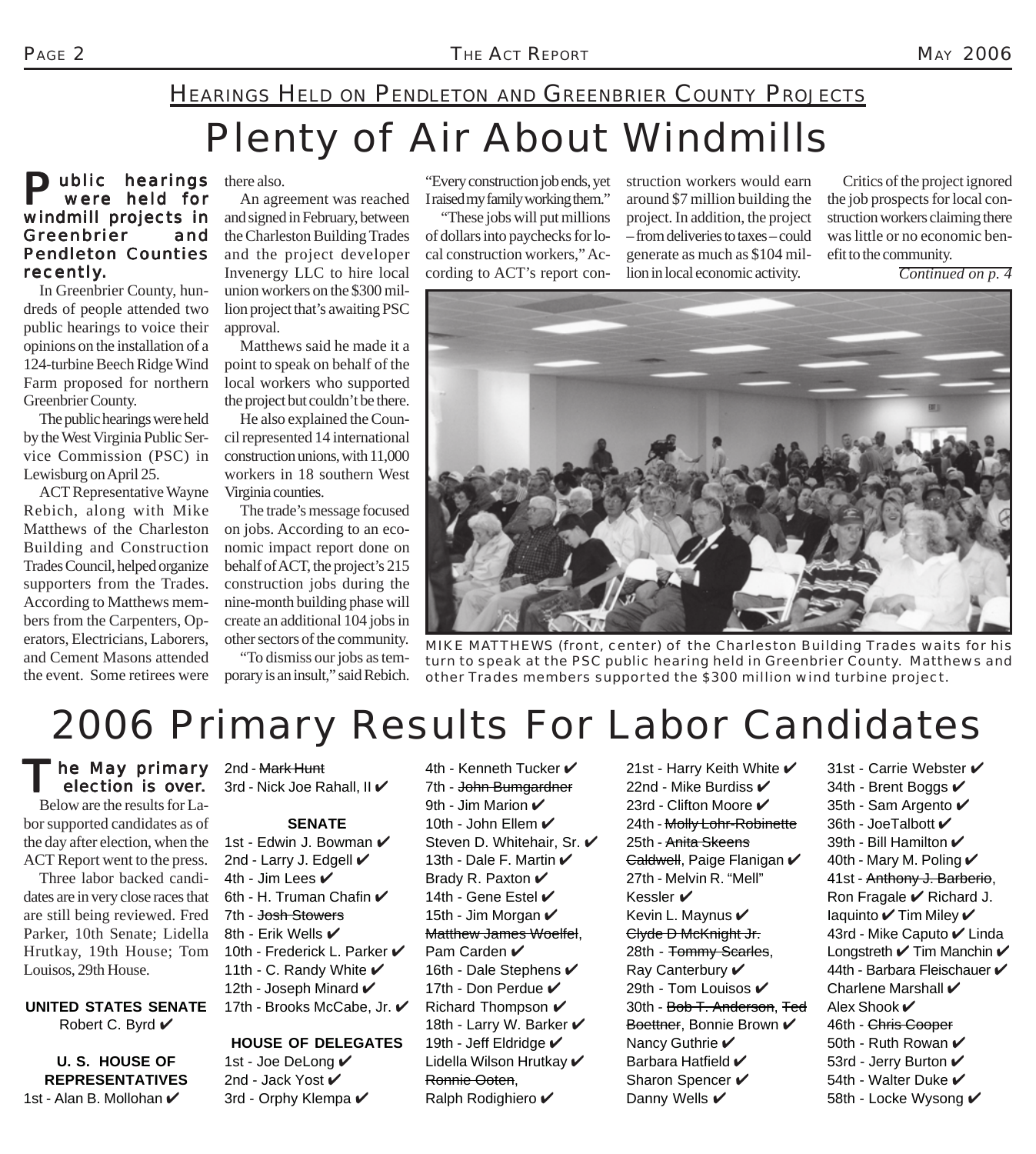### HEARINGS HELD ON PENDLETON AND GREENBRIER COUNTY PROJECTS

# Plenty of Air About Windmills

#### **Public hearings** there also.<br>
were held for An agree were held for windmill projects in Greenbrier and Pendleton Counties recently.

In Greenbrier County, hundreds of people attended two public hearings to voice their opinions on the installation of a 124-turbine Beech Ridge Wind Farm proposed for northern Greenbrier County.

The public hearings were held by the West Virginia Public Service Commission (PSC) in Lewisburg on April 25.

ACT Representative Wayne Rebich, along with Mike Matthews of the Charleston Building and Construction Trades Council, helped organize supporters from the Trades. According to Matthews members from the Carpenters, Operators, Electricians, Laborers, and Cement Masons attended the event. Some retirees were

An agreement was reached and signed in February, between the Charleston Building Trades and the project developer Invenergy LLC to hire local union workers on the \$300 million project that's awaiting PSC approval.

Matthews said he made it a point to speak on behalf of the local workers who supported the project but couldn't be there.

He also explained the Council represented 14 international construction unions, with 11,000 workers in 18 southern West Virginia counties.

The trade's message focused on jobs. According to an economic impact report done on behalf of ACT, the project's 215 construction jobs during the nine-month building phase will create an additional 104 jobs in other sectors of the community.

"To dismiss our jobs as temporary is an insult," said Rebich. "Every construction job ends, yet I raised my family working them."

"These jobs will put millions of dollars into paychecks for local construction workers," According to ACT's report construction workers would earn around \$7 million building the project. In addition, the project – from deliveries to taxes – could generate as much as \$104 million in local economic activity.

Critics of the project ignored the job prospects for local construction workers claiming there was little or no economic benefit to the community.

*Continued on p. 4*



*MIKE MATTHEWS (front, center) of the Charleston Building Trades waits for his turn to speak at the PSC public hearing held in Greenbrier County. Matthews and other Trades members supported the \$300 million wind turbine project.*

# 2006 Primary Results For Labor Candidates

he May primary election is over. Below are the results for Labor supported candidates as of the day after election, when the

ACT Report went to the press. Three labor backed candidates are in very close races that are still being reviewed. Fred Parker, 10th Senate; Lidella Hrutkay, 19th House; Tom Louisos, 29th House.

**UNITED STATES SENATE** Robert C. Byrd ✔

**U. S. HOUSE OF REPRESENTATIVES** 1st - Alan B. Mollohan  $\checkmark$ 

2nd - Mark Hunt 3rd - Nick Joe Rahall, II  $\checkmark$ 

#### **SENATE**

1st - Edwin J. Bowman  $\checkmark$ 2nd - Larry J. Edgell  $\checkmark$ 4th - Jim Lees  $\checkmark$ 6th - H. Truman Chafin  $\checkmark$ 7th - Josh Stowers 8th - Erik Wells  $\checkmark$ 10th - Frederick L. Parker ✔ 11th - C. Randy White  $\mathcal V$ 12th - Joseph Minard  $\checkmark$ 17th - Brooks McCabe, Jr. ✔

### **HOUSE OF DELEGATES**

1st - Joe DeLong ✔ 2nd - Jack Yost ✔ 3rd - Orphy Klempa  $\checkmark$  4th - Kenneth Tucker  $\mathcal V$ 7th - John Bumgardner 9th - Jim Marion  $\mathbf{\checkmark}$ 10th - John Ellem  $\mathcal V$ Steven D. Whitehair, Sr.  $\checkmark$ 13th - Dale F. Martin  $\mathcal V$ Brady R. Paxton  $\checkmark$ 14th - Gene Estel  $\checkmark$ 15th - Jim Morgan  $\mathcal V$ Matthew James Woelfel, Pam Carden V 16th - Dale Stephens  $\checkmark$ 17th - Don Perdue  $\mathcal V$ Richard Thompson  $\mathcal V$ 18th - Larry W. Barker  $\checkmark$ 19th - Jeff Eldridge  $\checkmark$ Lidella Wilson Hrutkav ✔ Ronnie Ooten, Ralph Rodighiero ✔

21st - Harry Keith White  $\checkmark$ 22nd - Mike Burdiss  $\checkmark$ 23rd - Clifton Moore ✔ 24th - Molly Lohr-Robinette 25th - Anita Skeens <del>Caldwell</del>, Paige Flanigan ✔ 27th - Melvin R. "Mell" Kessler ✔ Kevin L. Maynus  $\checkmark$ Clyde D McKnight Jr. 28th - Tommy Scarles, Ray Canterbury V 29th - Tom Louisos  $\checkmark$ 30th - Bob T. Anderson, Ted Boettner, Bonnie Brown V Nancy Guthrie ✔ Barbara Hatfield  $\blacktriangledown$ Sharon Spencer  $\checkmark$ Danny Wells  $\checkmark$ 

31st - Carrie Webster ✔ 34th - Brent Boggs  $\mathcal V$ 35th - Sam Argento ✔ 36th - JoeTalbott  $\mathcal V$ 39th - Bill Hamilton ✔ 40th - Mary M. Poling  $\checkmark$ 41st - Anthony J. Barberio, Ron Fragale  $\vee$  Richard J. Iaquinto  $\checkmark$  Tim Miley  $\checkmark$ 43rd - Mike Caputo ✔ Linda Longstreth  $\checkmark$  Tim Manchin  $\checkmark$ 44th - Barbara Fleischauer  $\checkmark$ Charlene Marshall  $\checkmark$ Alex Shook  $\checkmark$ 46th - Chris Cooper 50th - Ruth Rowan  $\mathcal V$ 53rd - Jerry Burton ✔ 54th - Walter Duke  $\checkmark$ 58th - Locke Wysong ✔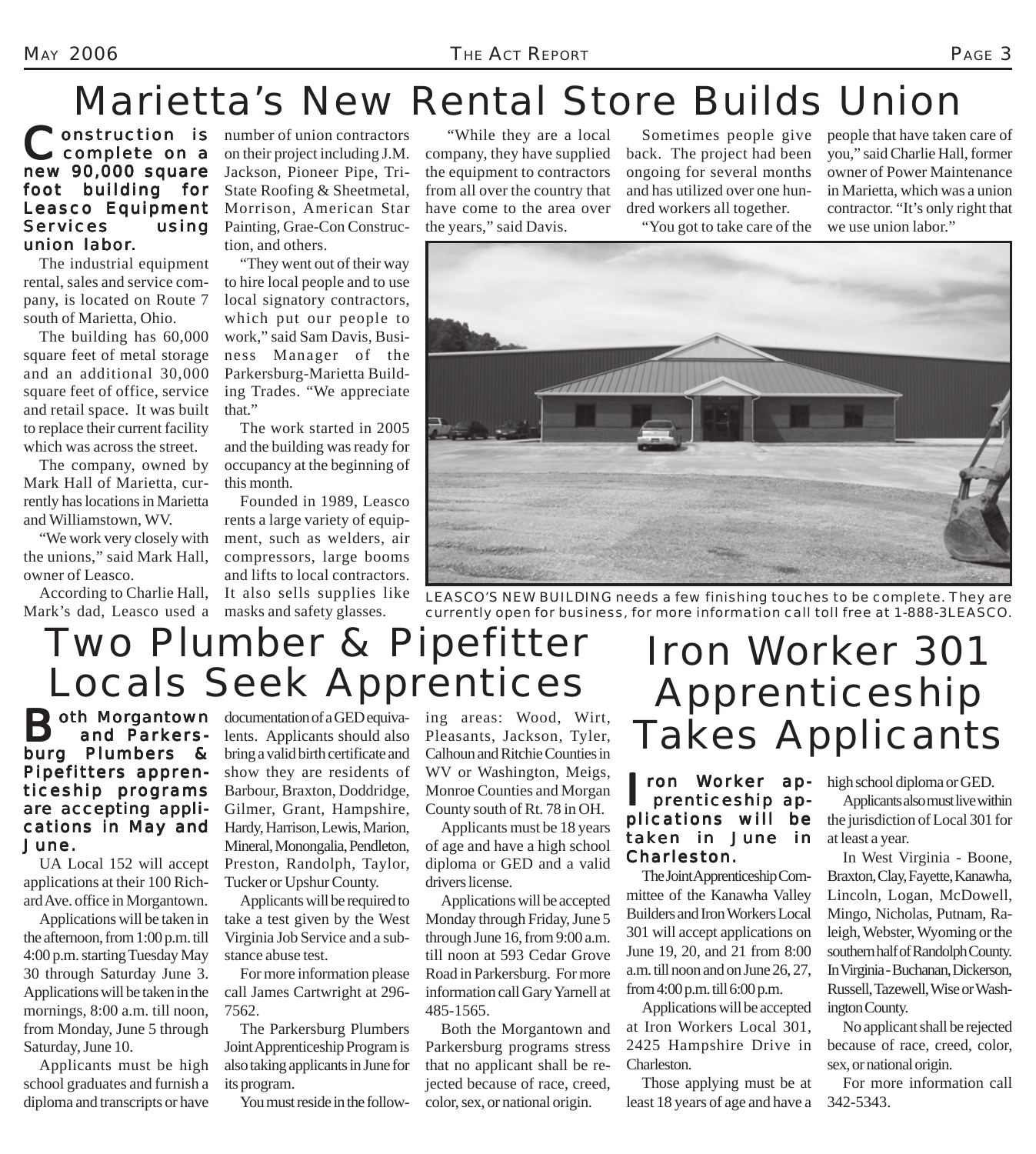## Marietta's New Rental Store Builds Union

### Construction is<br>
complete on a new 90,000 square foot building for Leasco Equipment Services using union labor.

The industrial equipment rental, sales and service company, is located on Route 7 south of Marietta, Ohio.

The building has 60,000 square feet of metal storage and an additional 30,000 square feet of office, service and retail space. It was built to replace their current facility which was across the street.

The company, owned by Mark Hall of Marietta, currently has locations in Marietta and Williamstown, WV.

"We work very closely with the unions," said Mark Hall, owner of Leasco.

According to Charlie Hall, Mark's dad, Leasco used a masks and safety glasses.

**Onstruction** is number of union contractors on their project including J.M. Jackson, Pioneer Pipe, Tri-State Roofing & Sheetmetal, Morrison, American Star Painting, Grae-Con Construction, and others.

> "They went out of their way to hire local people and to use local signatory contractors, which put our people to work," said Sam Davis, Business Manager of the Parkersburg-Marietta Building Trades. "We appreciate that."

> The work started in 2005 and the building was ready for occupancy at the beginning of this month.

Founded in 1989, Leasco rents a large variety of equipment, such as welders, air compressors, large booms and lifts to local contractors. It also sells supplies like

 "While they are a local company, they have supplied the equipment to contractors from all over the country that have come to the area over the years," said Davis.

Sometimes people give back. The project had been ongoing for several months and has utilized over one hundred workers all together.

"You got to take care of the

people that have taken care of you," said Charlie Hall, former owner of Power Maintenance in Marietta, which was a union contractor. "It's only right that we use union labor."

*LEASCO'S NEW BUILDING needs a few finishing touches to be complete. They are currently open for business, for more information call toll free at 1-888-3LEASCO.*

# Two Plumber & Pipefitter Locals Seek Apprentices

**Both Morgantown** documentation of a GED equiva- ing areas: Wood, Wirt,<br>
and Parkers- lents. Applicants should also Pleasants, Jackson, Tyler, and Parkersburg Plumbers & Pipefitters apprenticeship programs are accepting applications in May and June.

UA Local 152 will accept applications at their 100 Richard Ave. office in Morgantown.

Applications will be taken in the afternoon, from 1:00 p.m. till 4:00 p.m. starting Tuesday May 30 through Saturday June 3. Applications will be taken in the mornings, 8:00 a.m. till noon, from Monday, June 5 through Saturday, June 10.

Applicants must be high school graduates and furnish a diploma and transcripts or have

lents. Applicants should also bring a valid birth certificate and show they are residents of Barbour, Braxton, Doddridge, Gilmer, Grant, Hampshire, Hardy, Harrison, Lewis, Marion, Mineral, Monongalia, Pendleton, Preston, Randolph, Taylor, Tucker or Upshur County.

Applicants will be required to take a test given by the West Virginia Job Service and a substance abuse test.

For more information please call James Cartwright at 296- 7562.

The Parkersburg Plumbers Joint Apprenticeship Program is also taking applicants in June for its program.

You must reside in the follow-

Pleasants, Jackson, Tyler, Calhoun and Ritchie Counties in WV or Washington, Meigs, Monroe Counties and Morgan County south of Rt. 78 in OH.

Applicants must be 18 years of age and have a high school diploma or GED and a valid drivers license.

Applications will be accepted Monday through Friday, June 5 through June 16, from 9:00 a.m. till noon at 593 Cedar Grove Road in Parkersburg. For more information call Gary Yarnell at 485-1565.

Both the Morgantown and Parkersburg programs stress that no applicant shall be rejected because of race, creed, color, sex, or national origin.

## Iron Worker 301 Apprenticeship Takes Applicants

#### ron Worker apprenticeship applications will be taken in June in Charleston.

The Joint Apprenticeship Committee of the Kanawha Valley Builders and Iron Workers Local 301 will accept applications on June 19, 20, and 21 from 8:00 a.m. till noon and on June 26, 27, from 4:00 p.m. till 6:00 p.m.

Applications will be accepted at Iron Workers Local 301, 2425 Hampshire Drive in Charleston.

Those applying must be at least 18 years of age and have a

high school diploma or GED.

Applicants also must live within the jurisdiction of Local 301 for at least a year.

In West Virginia - Boone, Braxton, Clay, Fayette, Kanawha, Lincoln, Logan, McDowell, Mingo, Nicholas, Putnam, Raleigh, Webster, Wyoming or the southern half of Randolph County. In Virginia - Buchanan, Dickerson, Russell, Tazewell, Wise or Washington County.

No applicant shall be rejected because of race, creed, color, sex, or national origin.

For more information call 342-5343.